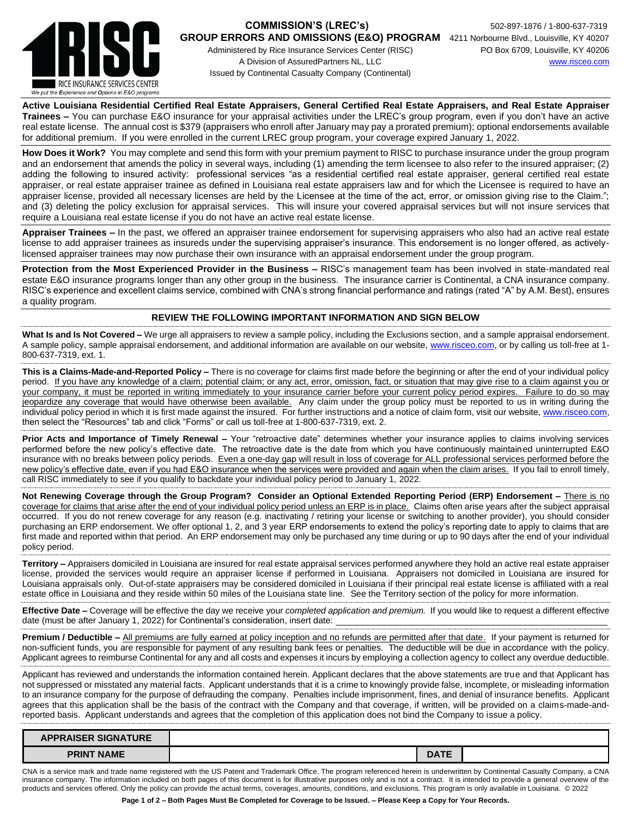

## **COMMISSION'S (LREC's)** 502-897-1876 / 1-800-637-7319

Administered by Rice Insurance Services Center (RISC) PO Box 6709, Louisville, KY 40206 A Division of AssuredPartners NL, LLC [www.risceo.com](http://www.risceo.com/) Issued by Continental Casualty Company (Continental)

**GROUP ERRORS AND OMISSIONS (E&O) PROGRAM** 4211 Norbourne Blvd., Louisville, KY 40207

**Active Louisiana Residential Certified Real Estate Appraisers, General Certified Real Estate Appraisers, and Real Estate Appraiser Trainees –** You can purchase E&O insurance for your appraisal activities under the LREC's group program, even if you don't have an active real estate license. The annual cost is \$379 (appraisers who enroll after January may pay a prorated premium); optional endorsements available for additional premium. If you were enrolled in the current LREC group program, your coverage expired January 1, 2022.

**How Does it Work?** You may complete and send this form with your premium payment to RISC to purchase insurance under the group program and an endorsement that amends the policy in several ways, including (1) amending the term licensee to also refer to the insured appraiser; (2) adding the following to insured activity: professional services "as a residential certified real estate appraiser, general certified real estate appraiser, or real estate appraiser trainee as defined in Louisiana real estate appraisers law and for which the Licensee is required to have an appraiser license, provided all necessary licenses are held by the Licensee at the time of the act, error, or omission giving rise to the Claim."; and (3) deleting the policy exclusion for appraisal services. This will insure your covered appraisal services but will not insure services that require a Louisiana real estate license if you do not have an active real estate license.

**Appraiser Trainees –** In the past, we offered an appraiser trainee endorsement for supervising appraisers who also had an active real estate license to add appraiser trainees as insureds under the supervising appraiser's insurance. This endorsement is no longer offered, as activelylicensed appraiser trainees may now purchase their own insurance with an appraisal endorsement under the group program.

**Protection from the Most Experienced Provider in the Business –** RISC's management team has been involved in state-mandated real estate E&O insurance programs longer than any other group in the business. The insurance carrier is Continental, a CNA insurance company. RISC's experience and excellent claims service, combined with CNA's strong financial performance and ratings (rated "A" by A.M. Best), ensures a quality program.

## **REVIEW THE FOLLOWING IMPORTANT INFORMATION AND SIGN BELOW**

**What Is and Is Not Covered –** We urge all appraisers to review a sample policy, including the Exclusions section, and a sample appraisal endorsement. A sample policy, sample appraisal endorsement, and additional information are available on our website, [www.risceo.com,](http://www.risceo.com/) or by calling us toll-free at 1-800-637-7319, ext. 1.

**This is a Claims-Made-and-Reported Policy –** There is no coverage for claims first made before the beginning or after the end of your individual policy period. If you have any knowledge of a claim; potential claim; or any act, error, omission, fact, or situation that may give rise to a claim against you or your company, it must be reported in writing immediately to your insurance carrier before your current policy period expires. Failure to do so may jeopardize any coverage that would have otherwise been available. Any claim under the group policy must be reported to us in writing during the individual policy period in which it is first made against the insured. For further instructions and a notice of claim form, visit our website, [www.risceo.com,](http://www.risceo.com/notice-of-claim-form) then select the "Resources" tab and click "Forms" or call us toll-free at 1-800-637-7319, ext. 2.

**Prior Acts and Importance of Timely Renewal –** Your "retroactive date" determines whether your insurance applies to claims involving services performed before the new policy's effective date. The retroactive date is the date from which you have continuously maintained uninterrupted E&O insurance with no breaks between policy periods. Even a one-day gap will result in loss of coverage for ALL professional services performed before the new policy's effective date, even if you had E&O insurance when the services were provided and again when the claim arises. If you fail to enroll timely, call RISC immediately to see if you qualify to backdate your individual policy period to January 1, 2022.

**Not Renewing Coverage through the Group Program? Consider an Optional Extended Reporting Period (ERP) Endorsement –** There is no coverage for claims that arise after the end of your individual policy period unless an ERP is in place. Claims often arise years after the subject appraisal occurred. If you do not renew coverage for any reason (e.g. inactivating / retiring your license or switching to another provider), you should consider purchasing an ERP endorsement. We offer optional 1, 2, and 3 year ERP endorsements to extend the policy's reporting date to apply to claims that are first made and reported within that period. An ERP endorsement may only be purchased any time during or up to 90 days after the end of your individual policy period.

**Territory –** Appraisers domiciled in Louisiana are insured for real estate appraisal services performed anywhere they hold an active real estate appraiser license, provided the services would require an appraiser license if performed in Louisiana. Appraisers not domiciled in Louisiana are insured for Louisiana appraisals only. Out-of-state appraisers may be considered domiciled in Louisiana if their principal real estate license is affiliated with a real estate office in Louisiana and they reside within 50 miles of the Louisiana state line. See the Territory section of the policy for more information.

**Effective Date –** Coverage will be effective the day we receive your *completed application and premium.* If you would like to request a different effective date (must be after January 1, 2022) for Continental's consideration, insert date:

**Premium / Deductible –** All premiums are fully earned at policy inception and no refunds are permitted after that date. If your payment is returned for non-sufficient funds, you are responsible for payment of any resulting bank fees or penalties. The deductible will be due in accordance with the policy. Applicant agrees to reimburse Continental for any and all costs and expenses it incurs by employing a collection agency to collect any overdue deductible.

Applicant has reviewed and understands the information contained herein. Applicant declares that the above statements are true and that Applicant has not suppressed or misstated any material facts. Applicant understands that it is a crime to knowingly provide false, incomplete, or misleading information to an insurance company for the purpose of defrauding the company. Penalties include imprisonment, fines, and denial of insurance benefits. Applicant agrees that this application shall be the basis of the contract with the Company and that coverage, if written, will be provided on a claims-made-andreported basis. Applicant understands and agrees that the completion of this application does not bind the Company to issue a policy.

| <b>APPRAISER SIGNATURE</b> |      |  |
|----------------------------|------|--|
| <b>PRINT NAME</b>          | UM I |  |

CNA is a service mark and trade name registered with the US Patent and Trademark Office. The program referenced herein is underwritten by Continental Casualty Company, a CNA insurance company. The information included on both pages of this document is for illustrative purposes only and is not a contract. It is intended to provide a general overview of the products and services offered. Only the policy can provide the actual terms, coverages, amounts, conditions, and exclusions. This program is only available in Louisiana. © 2022